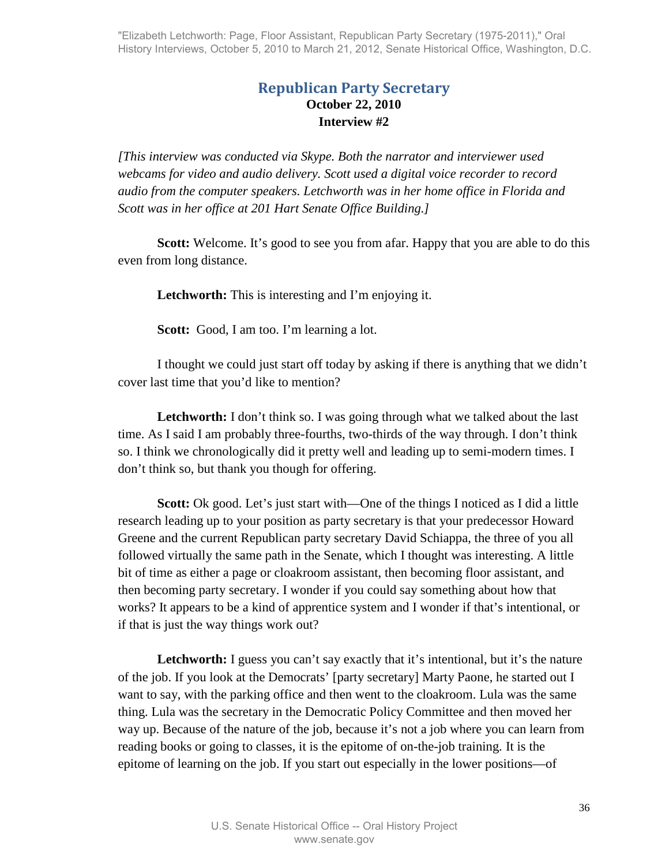# **Republican Party Secretary October 22, 2010 Interview #2**

*[This interview was conducted via Skype. Both the narrator and interviewer used webcams for video and audio delivery. Scott used a digital voice recorder to record audio from the computer speakers. Letchworth was in her home office in Florida and Scott was in her office at 201 Hart Senate Office Building.]* 

**Scott:** Welcome. It's good to see you from a far. Happy that you are able to do this even from long distance.

**Letchworth:** This is interesting and I'm enjoying it.

**Scott:** Good, I am too. I'm learning a lot.

I thought we could just start off today by asking if there is anything that we didn't cover last time that you'd like to mention?

**Letchworth:** I don't think so. I was going through what we talked about the last time. As I said I am probably three-fourths, two-thirds of the way through. I don't think so. I think we chronologically did it pretty well and leading up to semi-modern times. I don't think so, but thank you though for offering.

**Scott:** Ok good. Let's just start with—One of the things I noticed as I did a little research leading up to your position as party secretary is that your predecessor Howard Greene and the current Republican party secretary David Schiappa, the three of you all followed virtually the same path in the Senate, which I thought was interesting. A little bit of time as either a page or cloakroom assistant, then becoming floor assistant, and then becoming party secretary. I wonder if you could say something about how that works? It appears to be a kind of apprentice system and I wonder if that's intentional, or if that is just the way things work out?

Letchworth: I guess you can't say exactly that it's intentional, but it's the nature of the job. If you look at the Democrats' [party secretary] Marty Paone, he started out I want to say, with the parking office and then went to the cloakroom. Lula was the same thing. Lula was the secretary in the Democratic Policy Committee and then moved her way up. Because of the nature of the job, because it's not a job where you can learn from reading books or going to classes, it is the epitome of on-the-job training. It is the epitome of learning on the job. If you start out especially in the lower positions—of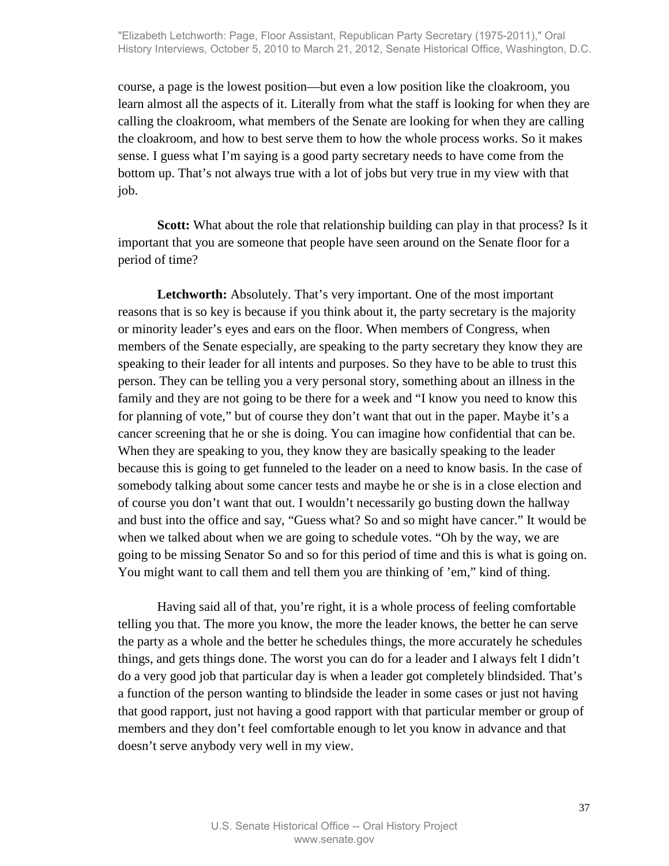course, a page is the lowest position—but even a low position like the cloakroom, you learn almost all the aspects of it. Literally from what the staff is looking for when they are calling the cloakroom, what members of the Senate are looking for when they are calling the cloakroom, and how to best serve them to how the whole process works. So it makes sense. I guess what I'm saying is a good party secretary needs to have come from the bottom up. That's not always true with a lot of jobs but very true in my view with that job.

**Scott:** What about the role that relationship building can play in that process? Is it important that you are someone that people have seen around on the Senate floor for a period of time?

**Letchworth:** Absolutely. That's very important. One of the most important reasons that is so key is because if you think about it, the party secretary is the majority or minority leader's eyes and ears on the floor. When members of Congress, when members of the Senate especially, are speaking to the party secretary they know they are speaking to their leader for all intents and purposes. So they have to be able to trust this person. They can be telling you a very personal story, something about an illness in the family and they are not going to be there for a week and "I know you need to know this for planning of vote," but of course they don't want that out in the paper. Maybe it's a cancer screening that he or she is doing. You can imagine how confidential that can be. When they are speaking to you, they know they are basically speaking to the leader because this is going to get funneled to the leader on a need to know basis. In the case of somebody talking about some cancer tests and maybe he or she is in a close election and of course you don't want that out. I wouldn't necessarily go busting down the hallway and bust into the office and say, "Guess what? So and so might have cancer." It would be when we talked about when we are going to schedule votes. "Oh by the way, we are going to be missing Senator So and so for this period of time and this is what is going on. You might want to call them and tell them you are thinking of 'em," kind of thing.

Having said all of that, you're right, it is a whole process of feeling comfortable telling you that. The more you know, the more the leader knows, the better he can serve the party as a whole and the better he schedules things, the more accurately he schedules things, and gets things done. The worst you can do for a leader and I always felt I didn't do a very good job that particular day is when a leader got completely blindsided. That's a function of the person wanting to blindside the leader in some cases or just not having that good rapport, just not having a good rapport with that particular member or group of members and they don't feel comfortable enough to let you know in advance and that doesn't serve anybody very well in my view.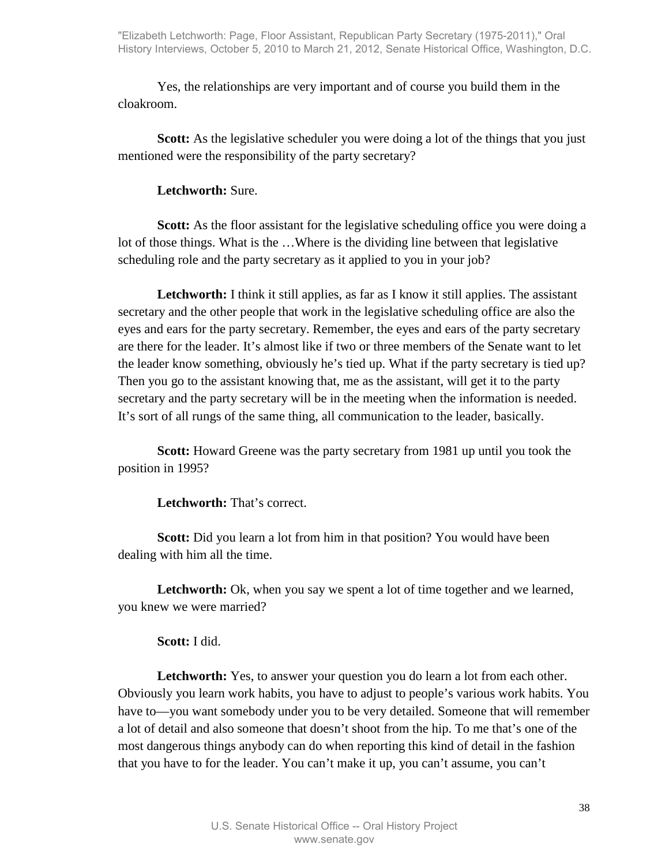Yes, the relationships are very important and of course you build them in the cloakroom.

**Scott:** As the legislative scheduler you were doing a lot of the things that you just mentioned were the responsibility of the party secretary?

### **Letchworth:** Sure.

**Scott:** As the floor assistant for the legislative scheduling office you were doing a lot of those things. What is the …Where is the dividing line between that legislative scheduling role and the party secretary as it applied to you in your job?

Letchworth: I think it still applies, as far as I know it still applies. The assistant secretary and the other people that work in the legislative scheduling office are also the eyes and ears for the party secretary. Remember, the eyes and ears of the party secretary are there for the leader. It's almost like if two or three members of the Senate want to let the leader know something, obviously he's tied up. What if the party secretary is tied up? Then you go to the assistant knowing that, me as the assistant, will get it to the party secretary and the party secretary will be in the meeting when the information is needed. It's sort of all rungs of the same thing, all communication to the leader, basically.

**Scott:** Howard Greene was the party secretary from 1981 up until you took the position in 1995?

**Letchworth:** That's correct.

**Scott:** Did you learn a lot from him in that position? You would have been dealing with him all the time.

Letchworth: Ok, when you say we spent a lot of time together and we learned, you knew we were married?

## **Scott:** I did.

**Letchworth:** Yes, to answer your question you do learn a lot from each other. Obviously you learn work habits, you have to adjust to people's various work habits. You have to—you want somebody under you to be very detailed. Someone that will remember a lot of detail and also someone that doesn't shoot from the hip. To me that's one of the most dangerous things anybody can do when reporting this kind of detail in the fashion that you have to for the leader. You can't make it up, you can't assume, you can't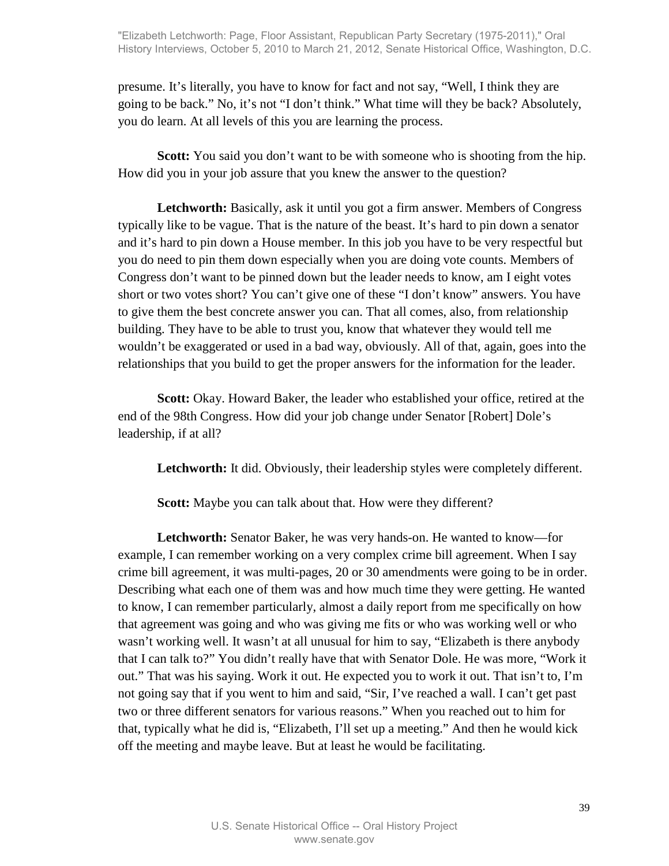presume. It's literally, you have to know for fact and not say, "Well, I think they are going to be back." No, it's not "I don't think." What time will they be back? Absolutely, you do learn. At all levels of this you are learning the process.

**Scott:** You said you don't want to be with someone who is shooting from the hip. How did you in your job assure that you knew the answer to the question?

**Letchworth:** Basically, ask it until you got a firm answer. Members of Congress typically like to be vague. That is the nature of the beast. It's hard to pin down a senator and it's hard to pin down a House member. In this job you have to be very respectful but you do need to pin them down especially when you are doing vote counts. Members of Congress don't want to be pinned down but the leader needs to know, am I eight votes short or two votes short? You can't give one of these "I don't know" answers. You have to give them the best concrete answer you can. That all comes, also, from relationship building. They have to be able to trust you, know that whatever they would tell me wouldn't be exaggerated or used in a bad way, obviously. All of that, again, goes into the relationships that you build to get the proper answers for the information for the leader.

**Scott:** Okay. Howard Baker, the leader who established your office, retired at the end of the 98th Congress. How did your job change under Senator [Robert] Dole's leadership, if at all?

**Letchworth:** It did. Obviously, their leadership styles were completely different.

**Scott:** Maybe you can talk about that. How were they different?

**Letchworth:** Senator Baker, he was very hands-on. He wanted to know—for example, I can remember working on a very complex crime bill agreement. When I say crime bill agreement, it was multi-pages, 20 or 30 amendments were going to be in order. Describing what each one of them was and how much time they were getting. He wanted to know, I can remember particularly, almost a daily report from me specifically on how that agreement was going and who was giving me fits or who was working well or who wasn't working well. It wasn't at all unusual for him to say, "Elizabeth is there anybody that I can talk to?" You didn't really have that with Senator Dole. He was more, "Work it out." That was his saying. Work it out. He expected you to work it out. That isn't to, I'm not going say that if you went to him and said, "Sir, I've reached a wall. I can't get past two or three different senators for various reasons." When you reached out to him for that, typically what he did is, "Elizabeth, I'll set up a meeting." And then he would kick off the meeting and maybe leave. But at least he would be facilitating.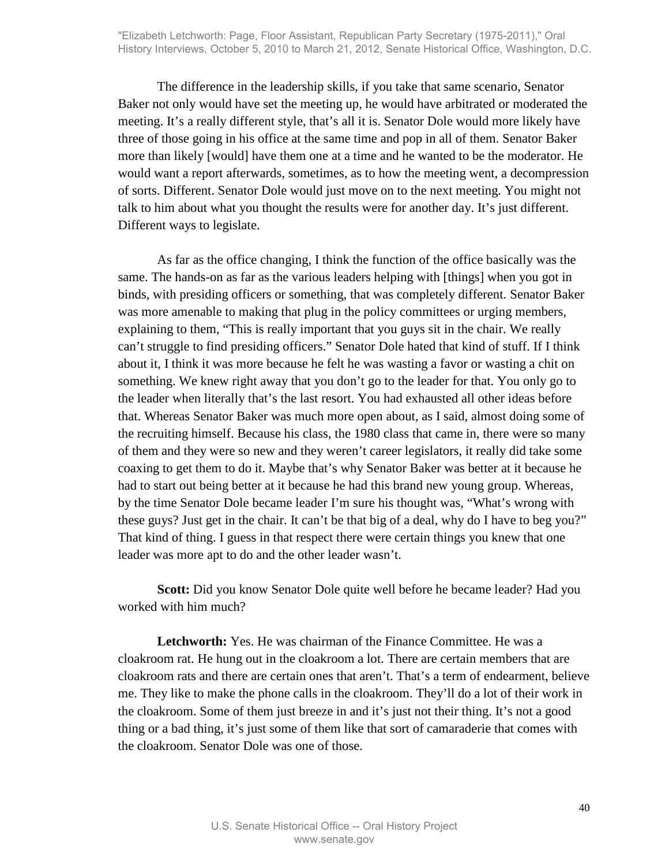The difference in the leadership skills, if you take that same scenario, Senator Baker not only would have set the meeting up, he would have arbitrated or moderated the meeting. It's a really different style, that's all it is. Senator Dole would more likely have three of those going in his office at the same time and pop in all of them. Senator Baker more than likely [would] have them one at a time and he wanted to be the moderator. He would want a report afterwards, sometimes, as to how the meeting went, a decompression of sorts. Different. Senator Dole would just move on to the next meeting. You might not talk to him about what you thought the results were for another day. It's just different. Different ways to legislate.

As far as the office changing, I think the function of the office basically was the same. The hands-on as far as the various leaders helping with [things] when you got in binds, with presiding officers or something, that was completely different. Senator Baker was more amenable to making that plug in the policy committees or urging members, explaining to them, "This is really important that you guys sit in the chair. We really can't struggle to find presiding officers." Senator Dole hated that kind of stuff. If I think about it, I think it was more because he felt he was wasting a favor or wasting a chit on something. We knew right away that you don't go to the leader for that. You only go to the leader when literally that's the last resort. You had exhausted all other ideas before that. Whereas Senator Baker was much more open about, as I said, almost doing some of the recruiting himself. Because his class, the 1980 class that came in, there were so many of them and they were so new and they weren't career legislators, it really did take some coaxing to get them to do it. Maybe that's why Senator Baker was better at it because he had to start out being better at it because he had this brand new young group. Whereas, by the time Senator Dole became leader I'm sure his thought was, "What's wrong with these guys? Just get in the chair. It can't be that big of a deal, why do I have to beg you?" That kind of thing. I guess in that respect there were certain things you knew that one leader was more apt to do and the other leader wasn't.

**Scott:** Did you know Senator Dole quite well before he became leader? Had you worked with him much?

**Letchworth:** Yes. He was chairman of the Finance Committee. He was a cloakroom rat. He hung out in the cloakroom a lot. There are certain members that are cloakroom rats and there are certain ones that aren't. That's a term of endearment, believe me. They like to make the phone calls in the cloakroom. They'll do a lot of their work in the cloakroom. Some of them just breeze in and it's just not their thing. It's not a good thing or a bad thing, it's just some of them like that sort of camaraderie that comes with the cloakroom. Senator Dole was one of those.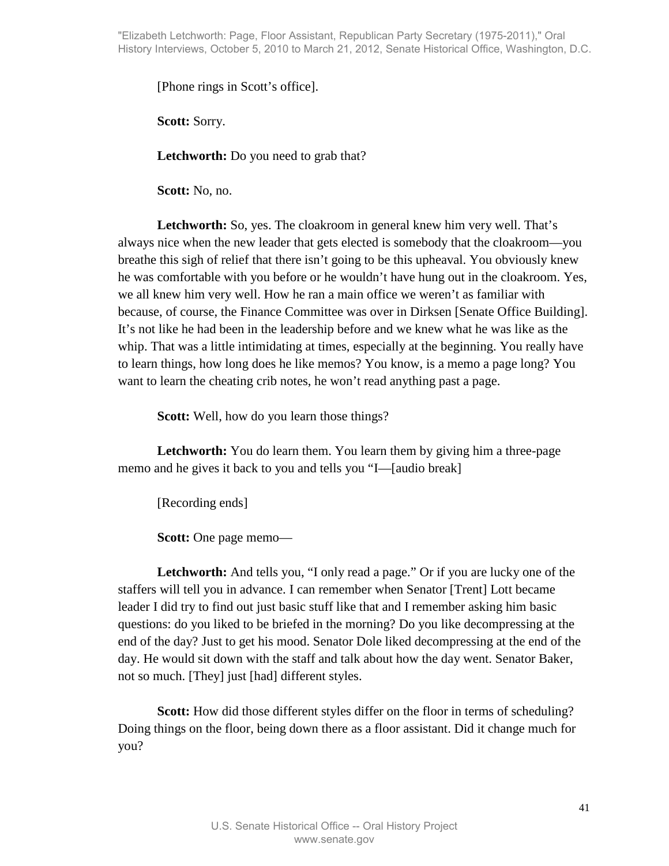"Elizabeth Letchworth: Page, Floor Assistant, Republican Party Secretary (1975-2011)," Oral History Interviews, October 5, 2010 to March 21, 2012, Senate Historical Office, Washington, D.C.

[Phone rings in Scott's office].

**Scott:** Sorry.

Letchworth: Do you need to grab that?

**Scott:** No, no.

Letchworth: So, yes. The cloakroom in general knew him very well. That's always nice when the new leader that gets elected is somebody that the cloakroom—you breathe this sigh of relief that there isn't going to be this upheaval. You obviously knew he was comfortable with you before or he wouldn't have hung out in the cloakroom. Yes, we all knew him very well. How he ran a main office we weren't as familiar with because, of course, the Finance Committee was over in Dirksen [Senate Office Building]. It's not like he had been in the leadership before and we knew what he was like as the whip. That was a little intimidating at times, especially at the beginning. You really have to learn things, how long does he like memos? You know, is a memo a page long? You want to learn the cheating crib notes, he won't read anything past a page.

**Scott:** Well, how do you learn those things?

Letchworth: You do learn them. You learn them by giving him a three-page memo and he gives it back to you and tells you "I—[audio break]

[Recording ends]

**Scott:** One page memo—

**Letchworth:** And tells you, "I only read a page." Or if you are lucky one of the staffers will tell you in advance. I can remember when Senator [Trent] Lott became leader I did try to find out just basic stuff like that and I remember asking him basic questions: do you liked to be briefed in the morning? Do you like decompressing at the end of the day? Just to get his mood. Senator Dole liked decompressing at the end of the day. He would sit down with the staff and talk about how the day went. Senator Baker, not so much. [They] just [had] different styles.

**Scott:** How did those different styles differ on the floor in terms of scheduling? Doing things on the floor, being down there as a floor assistant. Did it change much for you?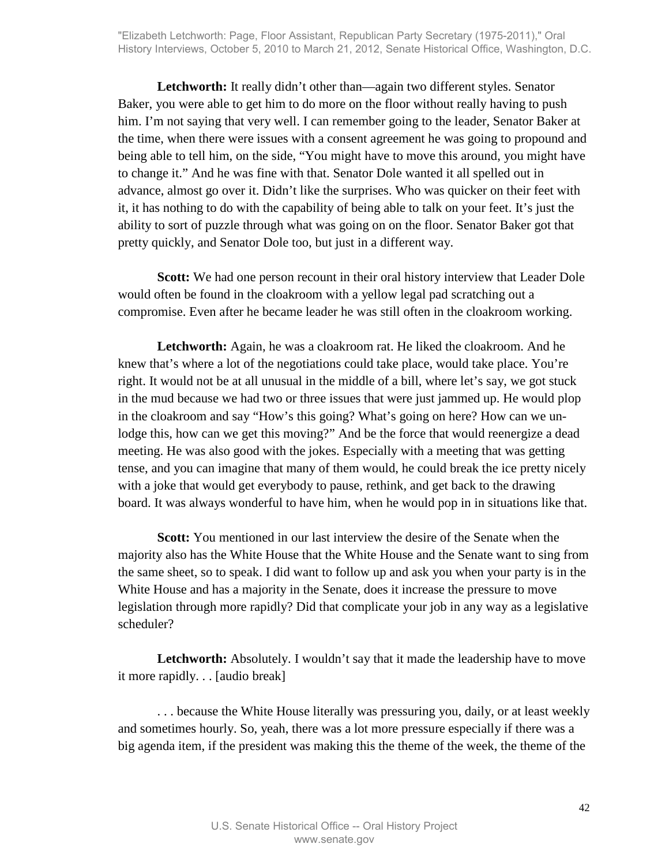Letchworth: It really didn't other than—again two different styles. Senator Baker, you were able to get him to do more on the floor without really having to push him. I'm not saying that very well. I can remember going to the leader, Senator Baker at the time, when there were issues with a consent agreement he was going to propound and being able to tell him, on the side, "You might have to move this around, you might have to change it." And he was fine with that. Senator Dole wanted it all spelled out in advance, almost go over it. Didn't like the surprises. Who was quicker on their feet with it, it has nothing to do with the capability of being able to talk on your feet. It's just the ability to sort of puzzle through what was going on on the floor. Senator Baker got that pretty quickly, and Senator Dole too, but just in a different way.

**Scott:** We had one person recount in their oral history interview that Leader Dole would often be found in the cloakroom with a yellow legal pad scratching out a compromise. Even after he became leader he was still often in the cloakroom working.

**Letchworth:** Again, he was a cloakroom rat. He liked the cloakroom. And he knew that's where a lot of the negotiations could take place, would take place. You're right. It would not be at all unusual in the middle of a bill, where let's say, we got stuck in the mud because we had two or three issues that were just jammed up. He would plop in the cloakroom and say "How's this going? What's going on here? How can we unlodge this, how can we get this moving?" And be the force that would reenergize a dead meeting. He was also good with the jokes. Especially with a meeting that was getting tense, and you can imagine that many of them would, he could break the ice pretty nicely with a joke that would get everybody to pause, rethink, and get back to the drawing board. It was always wonderful to have him, when he would pop in in situations like that.

**Scott:** You mentioned in our last interview the desire of the Senate when the majority also has the White House that the White House and the Senate want to sing from the same sheet, so to speak. I did want to follow up and ask you when your party is in the White House and has a majority in the Senate, does it increase the pressure to move legislation through more rapidly? Did that complicate your job in any way as a legislative scheduler?

Letchworth: Absolutely. I wouldn't say that it made the leadership have to move it more rapidly. . . [audio break]

. . . because the White House literally was pressuring you, daily, or at least weekly and sometimes hourly. So, yeah, there was a lot more pressure especially if there was a big agenda item, if the president was making this the theme of the week, the theme of the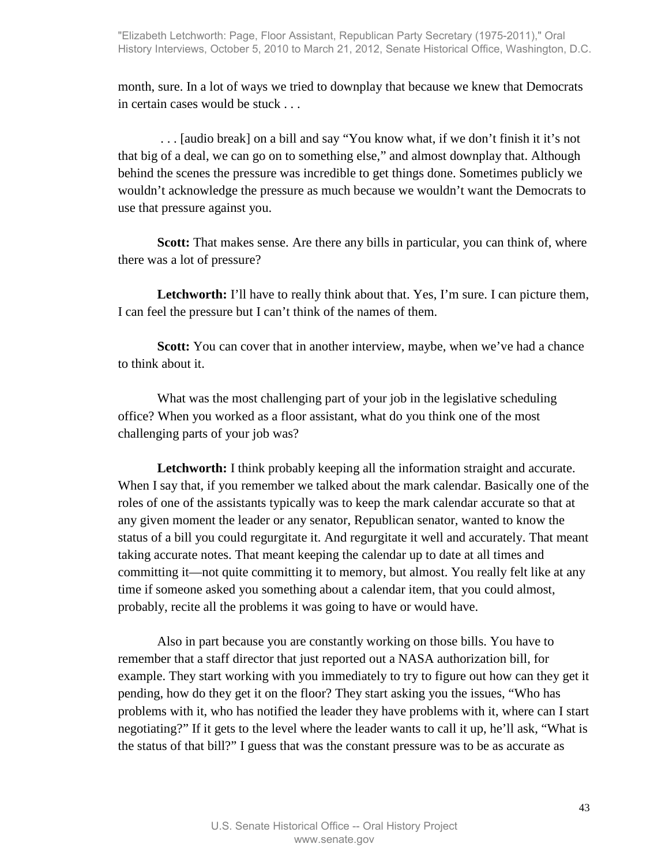month, sure. In a lot of ways we tried to downplay that because we knew that Democrats in certain cases would be stuck . . .

 . . . [audio break] on a bill and say "You know what, if we don't finish it it's not that big of a deal, we can go on to something else," and almost downplay that. Although behind the scenes the pressure was incredible to get things done. Sometimes publicly we wouldn't acknowledge the pressure as much because we wouldn't want the Democrats to use that pressure against you.

**Scott:** That makes sense. Are there any bills in particular, you can think of, where there was a lot of pressure?

Letchworth: I'll have to really think about that. Yes, I'm sure. I can picture them, I can feel the pressure but I can't think of the names of them.

**Scott:** You can cover that in another interview, maybe, when we've had a chance to think about it.

What was the most challenging part of your job in the legislative scheduling office? When you worked as a floor assistant, what do you think one of the most challenging parts of your job was?

**Letchworth:** I think probably keeping all the information straight and accurate. When I say that, if you remember we talked about the mark calendar. Basically one of the roles of one of the assistants typically was to keep the mark calendar accurate so that at any given moment the leader or any senator, Republican senator, wanted to know the status of a bill you could regurgitate it. And regurgitate it well and accurately. That meant taking accurate notes. That meant keeping the calendar up to date at all times and committing it—not quite committing it to memory, but almost. You really felt like at any time if someone asked you something about a calendar item, that you could almost, probably, recite all the problems it was going to have or would have.

Also in part because you are constantly working on those bills. You have to remember that a staff director that just reported out a NASA authorization bill, for example. They start working with you immediately to try to figure out how can they get it pending, how do they get it on the floor? They start asking you the issues, "Who has problems with it, who has notified the leader they have problems with it, where can I start negotiating?" If it gets to the level where the leader wants to call it up, he'll ask, "What is the status of that bill?" I guess that was the constant pressure was to be as accurate as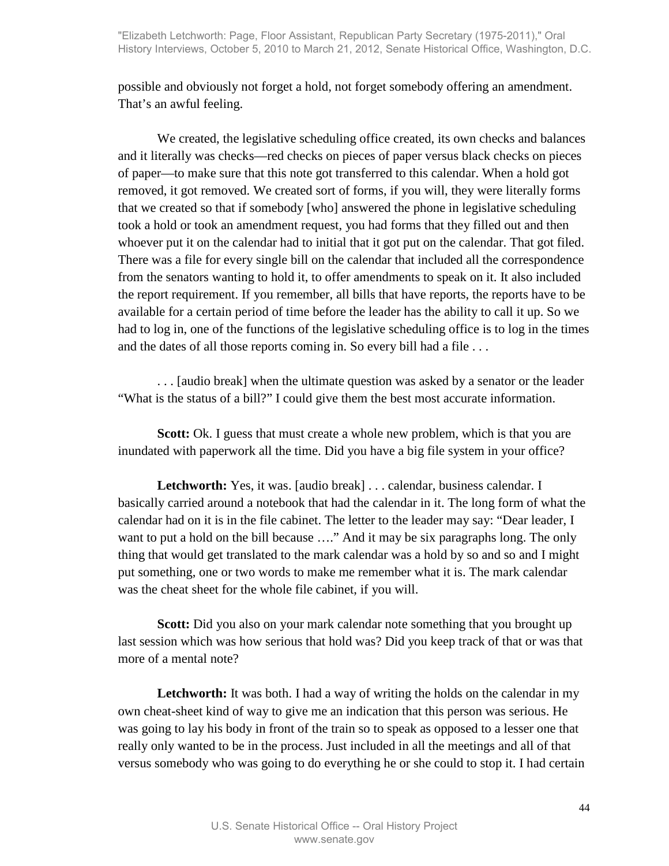possible and obviously not forget a hold, not forget somebody offering an amendment. That's an awful feeling.

We created, the legislative scheduling office created, its own checks and balances and it literally was checks—red checks on pieces of paper versus black checks on pieces of paper—to make sure that this note got transferred to this calendar. When a hold got removed, it got removed. We created sort of forms, if you will, they were literally forms that we created so that if somebody [who] answered the phone in legislative scheduling took a hold or took an amendment request, you had forms that they filled out and then whoever put it on the calendar had to initial that it got put on the calendar. That got filed. There was a file for every single bill on the calendar that included all the correspondence from the senators wanting to hold it, to offer amendments to speak on it. It also included the report requirement. If you remember, all bills that have reports, the reports have to be available for a certain period of time before the leader has the ability to call it up. So we had to log in, one of the functions of the legislative scheduling office is to log in the times and the dates of all those reports coming in. So every bill had a file . . .

. . . [audio break] when the ultimate question was asked by a senator or the leader "What is the status of a bill?" I could give them the best most accurate information.

**Scott:** Ok. I guess that must create a whole new problem, which is that you are inundated with paperwork all the time. Did you have a big file system in your office?

Letchworth: Yes, it was. [audio break] . . . calendar, business calendar. I basically carried around a notebook that had the calendar in it. The long form of what the calendar had on it is in the file cabinet. The letter to the leader may say: "Dear leader, I want to put a hold on the bill because ...." And it may be six paragraphs long. The only thing that would get translated to the mark calendar was a hold by so and so and I might put something, one or two words to make me remember what it is. The mark calendar was the cheat sheet for the whole file cabinet, if you will.

**Scott:** Did you also on your mark calendar note something that you brought up last session which was how serious that hold was? Did you keep track of that or was that more of a mental note?

Letchworth: It was both. I had a way of writing the holds on the calendar in my own cheat-sheet kind of way to give me an indication that this person was serious. He was going to lay his body in front of the train so to speak as opposed to a lesser one that really only wanted to be in the process. Just included in all the meetings and all of that versus somebody who was going to do everything he or she could to stop it. I had certain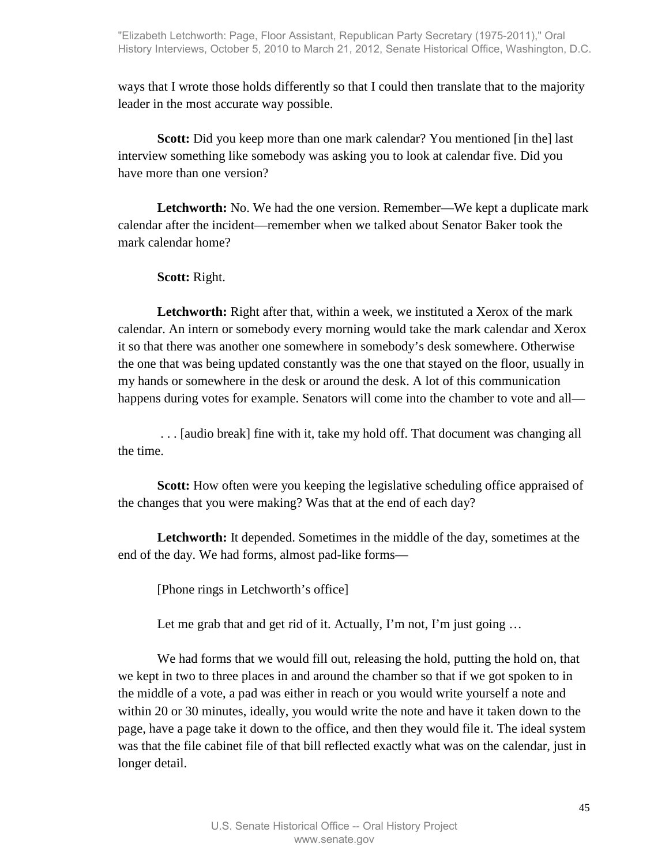ways that I wrote those holds differently so that I could then translate that to the majority leader in the most accurate way possible.

**Scott:** Did you keep more than one mark calendar? You mentioned [in the] last interview something like somebody was asking you to look at calendar five. Did you have more than one version?

**Letchworth:** No. We had the one version. Remember—We kept a duplicate mark calendar after the incident—remember when we talked about Senator Baker took the mark calendar home?

**Scott:** Right.

Letchworth: Right after that, within a week, we instituted a Xerox of the mark calendar. An intern or somebody every morning would take the mark calendar and Xerox it so that there was another one somewhere in somebody's desk somewhere. Otherwise the one that was being updated constantly was the one that stayed on the floor, usually in my hands or somewhere in the desk or around the desk. A lot of this communication happens during votes for example. Senators will come into the chamber to vote and all—

 . . . [audio break] fine with it, take my hold off. That document was changing all the time.

**Scott:** How often were you keeping the legislative scheduling office appraised of the changes that you were making? Was that at the end of each day?

**Letchworth:** It depended. Sometimes in the middle of the day, sometimes at the end of the day. We had forms, almost pad-like forms—

[Phone rings in Letchworth's office]

Let me grab that and get rid of it. Actually, I'm not, I'm just going ...

We had forms that we would fill out, releasing the hold, putting the hold on, that we kept in two to three places in and around the chamber so that if we got spoken to in the middle of a vote, a pad was either in reach or you would write yourself a note and within 20 or 30 minutes, ideally, you would write the note and have it taken down to the page, have a page take it down to the office, and then they would file it. The ideal system was that the file cabinet file of that bill reflected exactly what was on the calendar, just in longer detail.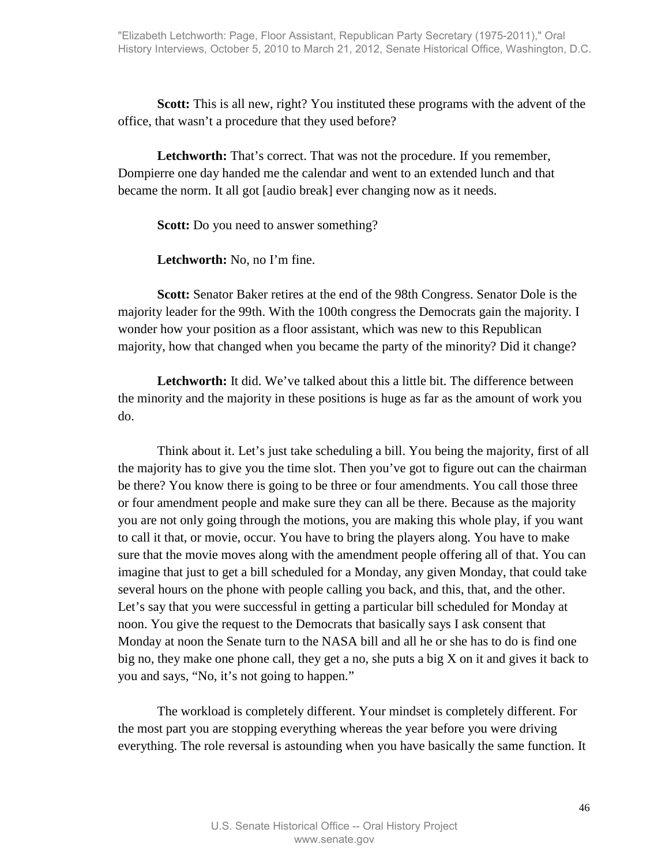**Scott:** This is all new, right? You instituted these programs with the advent of the office, that wasn't a procedure that they used before?

Letchworth: That's correct. That was not the procedure. If you remember, Dompierre one day handed me the calendar and went to an extended lunch and that became the norm. It all got [audio break] ever changing now as it needs.

**Scott:** Do you need to answer something?

**Letchworth:** No, no I'm fine.

**Scott:** Senator Baker retires at the end of the 98th Congress. Senator Dole is the majority leader for the 99th. With the 100th congress the Democrats gain the majority. I wonder how your position as a floor assistant, which was new to this Republican majority, how that changed when you became the party of the minority? Did it change?

**Letchworth:** It did. We've talked about this a little bit. The difference between the minority and the majority in these positions is huge as far as the amount of work you do.

Think about it. Let's just take scheduling a bill. You being the majority, first of all the majority has to give you the time slot. Then you've got to figure out can the chairman be there? You know there is going to be three or four amendments. You call those three or four amendment people and make sure they can all be there. Because as the majority you are not only going through the motions, you are making this whole play, if you want to call it that, or movie, occur. You have to bring the players along. You have to make sure that the movie moves along with the amendment people offering all of that. You can imagine that just to get a bill scheduled for a Monday, any given Monday, that could take several hours on the phone with people calling you back, and this, that, and the other. Let's say that you were successful in getting a particular bill scheduled for Monday at noon. You give the request to the Democrats that basically says I ask consent that Monday at noon the Senate turn to the NASA bill and all he or she has to do is find one big no, they make one phone call, they get a no, she puts a big  $X$  on it and gives it back to you and says, "No, it's not going to happen."

The workload is completely different. Your mindset is completely different. For the most part you are stopping everything whereas the year before you were driving everything. The role reversal is astounding when you have basically the same function. It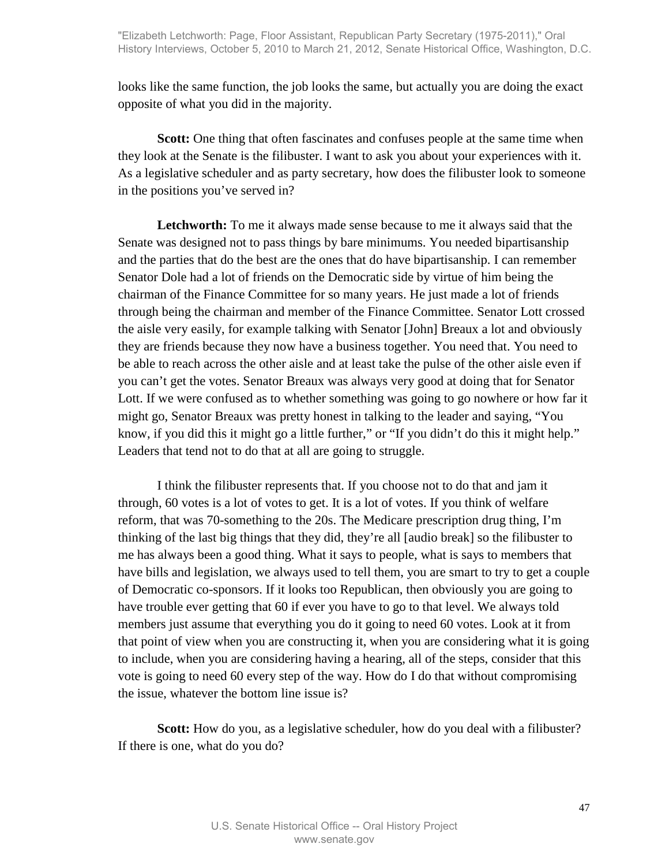looks like the same function, the job looks the same, but actually you are doing the exact opposite of what you did in the majority.

**Scott:** One thing that often fascinates and confuses people at the same time when they look at the Senate is the filibuster. I want to ask you about your experiences with it. As a legislative scheduler and as party secretary, how does the filibuster look to someone in the positions you've served in?

**Letchworth:** To me it always made sense because to me it always said that the Senate was designed not to pass things by bare minimums. You needed bipartisanship and the parties that do the best are the ones that do have bipartisanship. I can remember Senator Dole had a lot of friends on the Democratic side by virtue of him being the chairman of the Finance Committee for so many years. He just made a lot of friends through being the chairman and member of the Finance Committee. Senator Lott crossed the aisle very easily, for example talking with Senator [John] Breaux a lot and obviously they are friends because they now have a business together. You need that. You need to be able to reach across the other aisle and at least take the pulse of the other aisle even if you can't get the votes. Senator Breaux was always very good at doing that for Senator Lott. If we were confused as to whether something was going to go nowhere or how far it might go, Senator Breaux was pretty honest in talking to the leader and saying, "You know, if you did this it might go a little further," or "If you didn't do this it might help." Leaders that tend not to do that at all are going to struggle.

I think the filibuster represents that. If you choose not to do that and jam it through, 60 votes is a lot of votes to get. It is a lot of votes. If you think of welfare reform, that was 70-something to the 20s. The Medicare prescription drug thing, I'm thinking of the last big things that they did, they're all [audio break] so the filibuster to me has always been a good thing. What it says to people, what is says to members that have bills and legislation, we always used to tell them, you are smart to try to get a couple of Democratic co-sponsors. If it looks too Republican, then obviously you are going to have trouble ever getting that 60 if ever you have to go to that level. We always told members just assume that everything you do it going to need 60 votes. Look at it from that point of view when you are constructing it, when you are considering what it is going to include, when you are considering having a hearing, all of the steps, consider that this vote is going to need 60 every step of the way. How do I do that without compromising the issue, whatever the bottom line issue is?

**Scott:** How do you, as a legislative scheduler, how do you deal with a filibuster? If there is one, what do you do?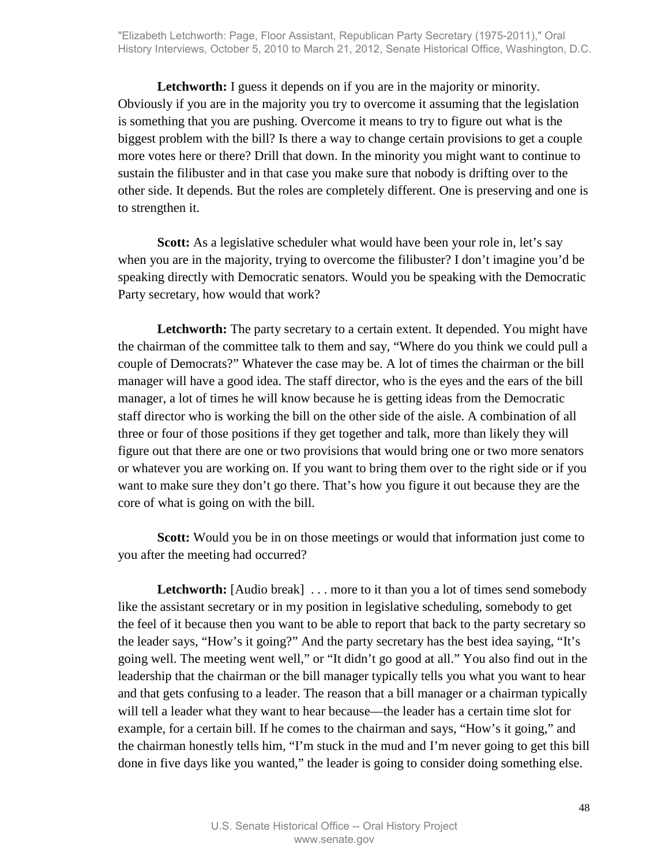Letchworth: I guess it depends on if you are in the majority or minority. Obviously if you are in the majority you try to overcome it assuming that the legislation is something that you are pushing. Overcome it means to try to figure out what is the biggest problem with the bill? Is there a way to change certain provisions to get a couple more votes here or there? Drill that down. In the minority you might want to continue to sustain the filibuster and in that case you make sure that nobody is drifting over to the other side. It depends. But the roles are completely different. One is preserving and one is to strengthen it.

Scott: As a legislative scheduler what would have been your role in, let's say when you are in the majority, trying to overcome the filibuster? I don't imagine you'd be speaking directly with Democratic senators. Would you be speaking with the Democratic Party secretary, how would that work?

**Letchworth:** The party secretary to a certain extent. It depended. You might have the chairman of the committee talk to them and say, "Where do you think we could pull a couple of Democrats?" Whatever the case may be. A lot of times the chairman or the bill manager will have a good idea. The staff director, who is the eyes and the ears of the bill manager, a lot of times he will know because he is getting ideas from the Democratic staff director who is working the bill on the other side of the aisle. A combination of all three or four of those positions if they get together and talk, more than likely they will figure out that there are one or two provisions that would bring one or two more senators or whatever you are working on. If you want to bring them over to the right side or if you want to make sure they don't go there. That's how you figure it out because they are the core of what is going on with the bill.

**Scott:** Would you be in on those meetings or would that information just come to you after the meeting had occurred?

**Letchworth:** [Audio break] . . . more to it than you a lot of times send somebody like the assistant secretary or in my position in legislative scheduling, somebody to get the feel of it because then you want to be able to report that back to the party secretary so the leader says, "How's it going?" And the party secretary has the best idea saying, "It's going well. The meeting went well," or "It didn't go good at all." You also find out in the leadership that the chairman or the bill manager typically tells you what you want to hear and that gets confusing to a leader. The reason that a bill manager or a chairman typically will tell a leader what they want to hear because—the leader has a certain time slot for example, for a certain bill. If he comes to the chairman and says, "How's it going," and the chairman honestly tells him, "I'm stuck in the mud and I'm never going to get this bill done in five days like you wanted," the leader is going to consider doing something else.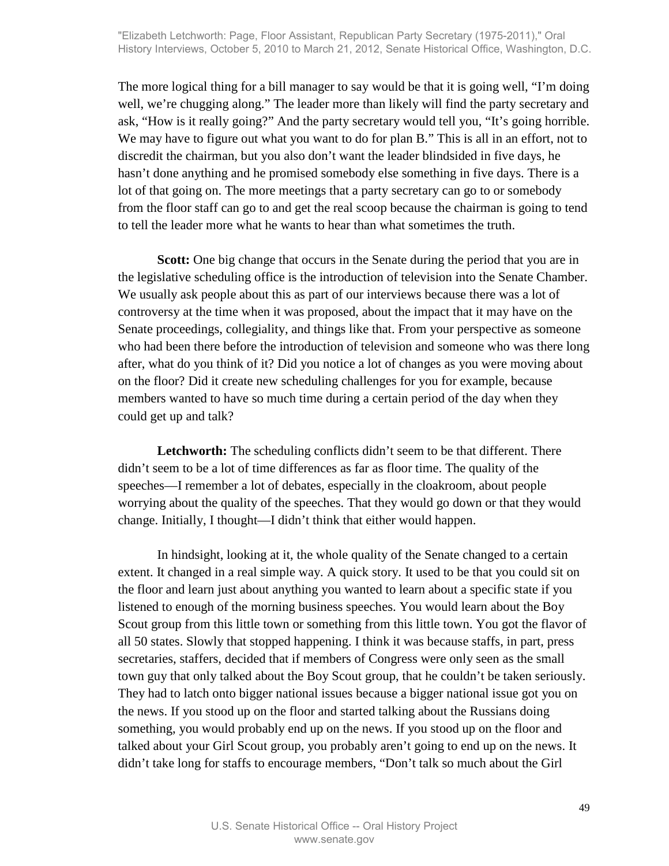The more logical thing for a bill manager to say would be that it is going well, "I'm doing well, we're chugging along." The leader more than likely will find the party secretary and ask, "How is it really going?" And the party secretary would tell you, "It's going horrible. We may have to figure out what you want to do for plan B." This is all in an effort, not to discredit the chairman, but you also don't want the leader blindsided in five days, he hasn't done anything and he promised somebody else something in five days. There is a lot of that going on. The more meetings that a party secretary can go to or somebody from the floor staff can go to and get the real scoop because the chairman is going to tend to tell the leader more what he wants to hear than what sometimes the truth.

**Scott:** One big change that occurs in the Senate during the period that you are in the legislative scheduling office is the introduction of television into the Senate Chamber. We usually ask people about this as part of our interviews because there was a lot of controversy at the time when it was proposed, about the impact that it may have on the Senate proceedings, collegiality, and things like that. From your perspective as someone who had been there before the introduction of television and someone who was there long after, what do you think of it? Did you notice a lot of changes as you were moving about on the floor? Did it create new scheduling challenges for you for example, because members wanted to have so much time during a certain period of the day when they could get up and talk?

Letchworth: The scheduling conflicts didn't seem to be that different. There didn't seem to be a lot of time differences as far as floor time. The quality of the speeches—I remember a lot of debates, especially in the cloakroom, about people worrying about the quality of the speeches. That they would go down or that they would change. Initially, I thought—I didn't think that either would happen.

In hindsight, looking at it, the whole quality of the Senate changed to a certain extent. It changed in a real simple way. A quick story. It used to be that you could sit on the floor and learn just about anything you wanted to learn about a specific state if you listened to enough of the morning business speeches. You would learn about the Boy Scout group from this little town or something from this little town. You got the flavor of all 50 states. Slowly that stopped happening. I think it was because staffs, in part, press secretaries, staffers, decided that if members of Congress were only seen as the small town guy that only talked about the Boy Scout group, that he couldn't be taken seriously. They had to latch onto bigger national issues because a bigger national issue got you on the news. If you stood up on the floor and started talking about the Russians doing something, you would probably end up on the news. If you stood up on the floor and talked about your Girl Scout group, you probably aren't going to end up on the news. It didn't take long for staffs to encourage members, "Don't talk so much about the Girl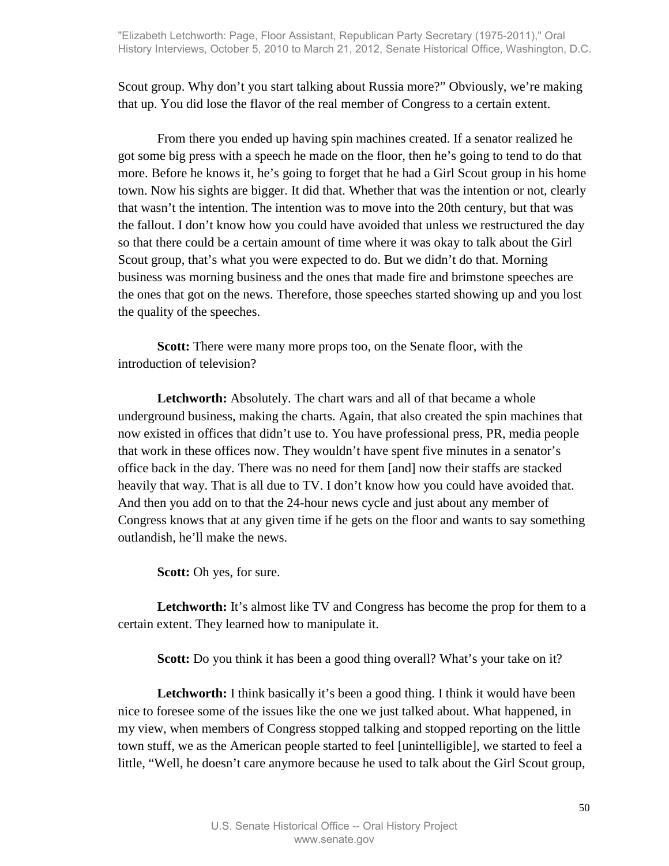Scout group. Why don't you start talking about Russia more?" Obviously, we're making that up. You did lose the flavor of the real member of Congress to a certain extent.

From there you ended up having spin machines created. If a senator realized he got some big press with a speech he made on the floor, then he's going to tend to do that more. Before he knows it, he's going to forget that he had a Girl Scout group in his home town. Now his sights are bigger. It did that. Whether that was the intention or not, clearly that wasn't the intention. The intention was to move into the 20th century, but that was the fallout. I don't know how you could have avoided that unless we restructured the day so that there could be a certain amount of time where it was okay to talk about the Girl Scout group, that's what you were expected to do. But we didn't do that. Morning business was morning business and the ones that made fire and brimstone speeches are the ones that got on the news. Therefore, those speeches started showing up and you lost the quality of the speeches.

**Scott:** There were many more props too, on the Senate floor, with the introduction of television?

**Letchworth:** Absolutely. The chart wars and all of that became a whole underground business, making the charts. Again, that also created the spin machines that now existed in offices that didn't use to. You have professional press, PR, media people that work in these offices now. They wouldn't have spent five minutes in a senator's office back in the day. There was no need for them [and] now their staffs are stacked heavily that way. That is all due to TV. I don't know how you could have avoided that. And then you add on to that the 24-hour news cycle and just about any member of Congress knows that at any given time if he gets on the floor and wants to say something outlandish, he'll make the news.

**Scott:** Oh yes, for sure.

Letchworth: It's almost like TV and Congress has become the prop for them to a certain extent. They learned how to manipulate it.

**Scott:** Do you think it has been a good thing overall? What's your take on it?

**Letchworth:** I think basically it's been a good thing. I think it would have been nice to foresee some of the issues like the one we just talked about. What happened, in my view, when members of Congress stopped talking and stopped reporting on the little town stuff, we as the American people started to feel [unintelligible], we started to feel a little, "Well, he doesn't care anymore because he used to talk about the Girl Scout group,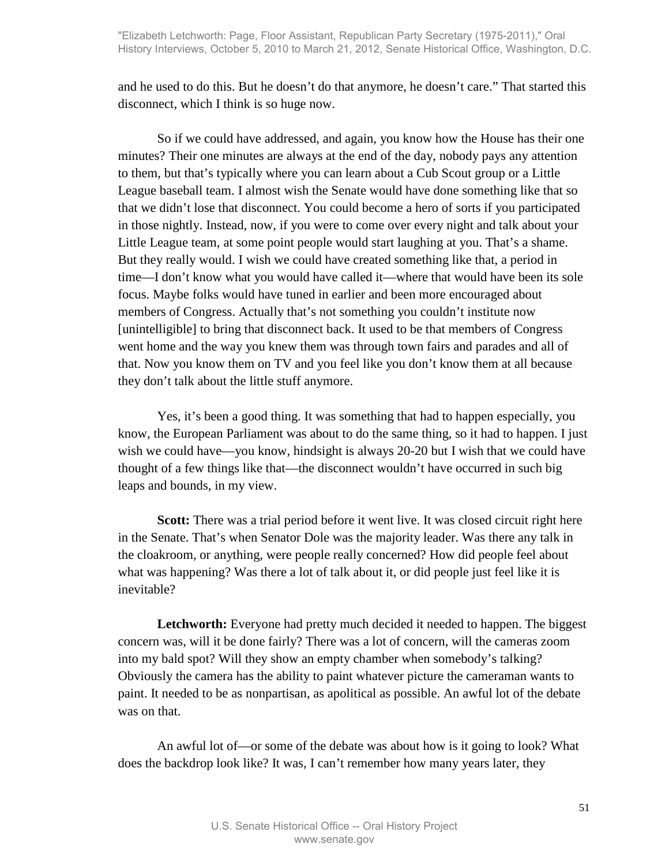and he used to do this. But he doesn't do that anymore, he doesn't care." That started this disconnect, which I think is so huge now.

So if we could have addressed, and again, you know how the House has their one minutes? Their one minutes are always at the end of the day, nobody pays any attention to them, but that's typically where you can learn about a Cub Scout group or a Little League baseball team. I almost wish the Senate would have done something like that so that we didn't lose that disconnect. You could become a hero of sorts if you participated in those nightly. Instead, now, if you were to come over every night and talk about your Little League team, at some point people would start laughing at you. That's a shame. But they really would. I wish we could have created something like that, a period in time—I don't know what you would have called it—where that would have been its sole focus. Maybe folks would have tuned in earlier and been more encouraged about members of Congress. Actually that's not something you couldn't institute now [unintelligible] to bring that disconnect back. It used to be that members of Congress went home and the way you knew them was through town fairs and parades and all of that. Now you know them on TV and you feel like you don't know them at all because they don't talk about the little stuff anymore.

Yes, it's been a good thing. It was something that had to happen especially, you know, the European Parliament was about to do the same thing, so it had to happen. I just wish we could have—you know, hindsight is always 20-20 but I wish that we could have thought of a few things like that—the disconnect wouldn't have occurred in such big leaps and bounds, in my view.

**Scott:** There was a trial period before it went live. It was closed circuit right here in the Senate. That's when Senator Dole was the majority leader. Was there any talk in the cloakroom, or anything, were people really concerned? How did people feel about what was happening? Was there a lot of talk about it, or did people just feel like it is inevitable?

**Letchworth:** Everyone had pretty much decided it needed to happen. The biggest concern was, will it be done fairly? There was a lot of concern, will the cameras zoom into my bald spot? Will they show an empty chamber when somebody's talking? Obviously the camera has the ability to paint whatever picture the cameraman wants to paint. It needed to be as nonpartisan, as apolitical as possible. An awful lot of the debate was on that.

An awful lot of—or some of the debate was about how is it going to look? What does the backdrop look like? It was, I can't remember how many years later, they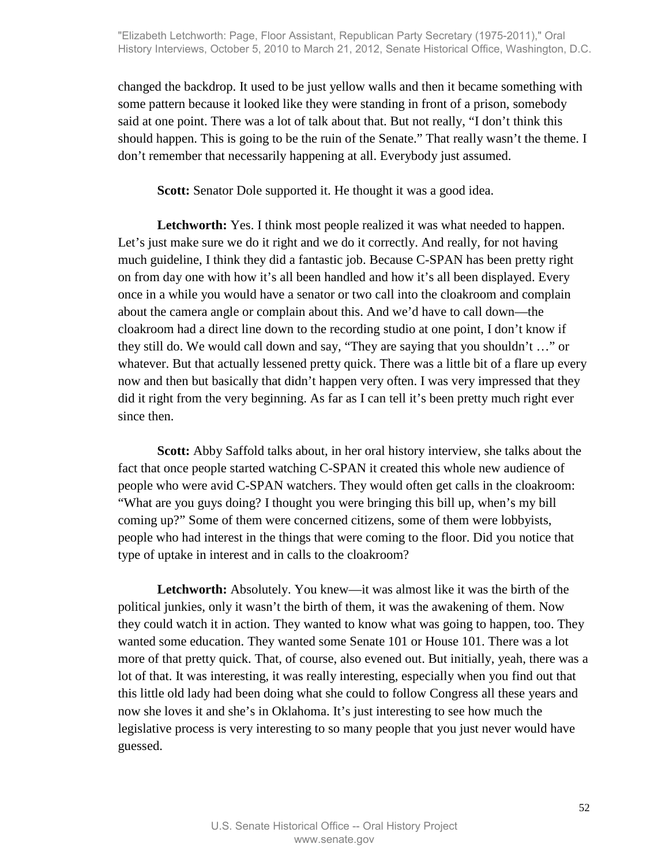changed the backdrop. It used to be just yellow walls and then it became something with some pattern because it looked like they were standing in front of a prison, somebody said at one point. There was a lot of talk about that. But not really, "I don't think this should happen. This is going to be the ruin of the Senate." That really wasn't the theme. I don't remember that necessarily happening at all. Everybody just assumed.

**Scott:** Senator Dole supported it. He thought it was a good idea.

Letchworth: Yes. I think most people realized it was what needed to happen. Let's just make sure we do it right and we do it correctly. And really, for not having much guideline, I think they did a fantastic job. Because C-SPAN has been pretty right on from day one with how it's all been handled and how it's all been displayed. Every once in a while you would have a senator or two call into the cloakroom and complain about the camera angle or complain about this. And we'd have to call down—the cloakroom had a direct line down to the recording studio at one point, I don't know if they still do. We would call down and say, "They are saying that you shouldn't …" or whatever. But that actually lessened pretty quick. There was a little bit of a flare up every now and then but basically that didn't happen very often. I was very impressed that they did it right from the very beginning. As far as I can tell it's been pretty much right ever since then.

**Scott:** Abby Saffold talks about, in her oral history interview, she talks about the fact that once people started watching C-SPAN it created this whole new audience of people who were avid C-SPAN watchers. They would often get calls in the cloakroom: "What are you guys doing? I thought you were bringing this bill up, when's my bill coming up?" Some of them were concerned citizens, some of them were lobbyists, people who had interest in the things that were coming to the floor. Did you notice that type of uptake in interest and in calls to the cloakroom?

**Letchworth:** Absolutely. You knew—it was almost like it was the birth of the political junkies, only it wasn't the birth of them, it was the awakening of them. Now they could watch it in action. They wanted to know what was going to happen, too. They wanted some education. They wanted some Senate 101 or House 101. There was a lot more of that pretty quick. That, of course, also evened out. But initially, yeah, there was a lot of that. It was interesting, it was really interesting, especially when you find out that this little old lady had been doing what she could to follow Congress all these years and now she loves it and she's in Oklahoma. It's just interesting to see how much the legislative process is very interesting to so many people that you just never would have guessed.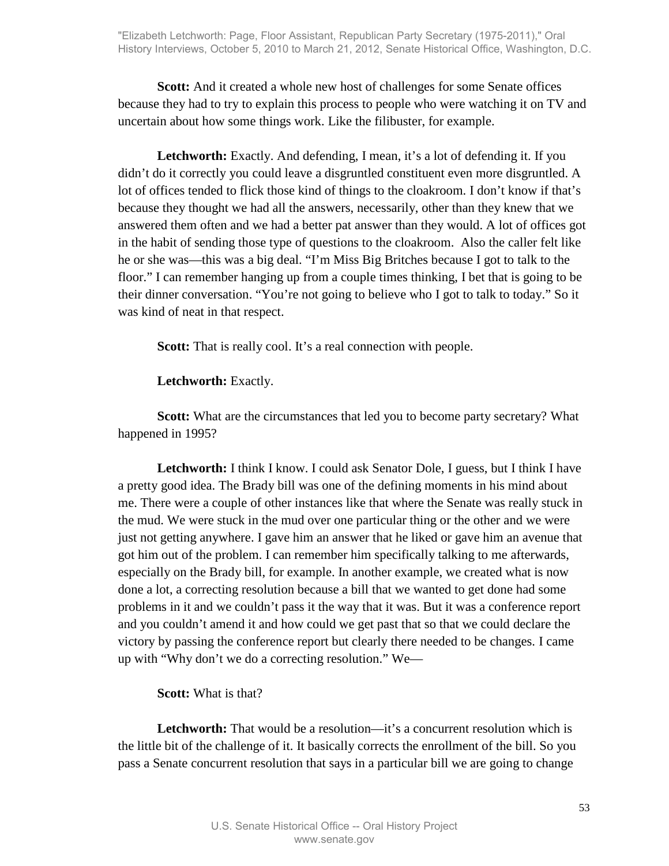**Scott:** And it created a whole new host of challenges for some Senate offices because they had to try to explain this process to people who were watching it on TV and uncertain about how some things work. Like the filibuster, for example.

Letchworth: Exactly. And defending, I mean, it's a lot of defending it. If you didn't do it correctly you could leave a disgruntled constituent even more disgruntled. A lot of offices tended to flick those kind of things to the cloakroom. I don't know if that's because they thought we had all the answers, necessarily, other than they knew that we answered them often and we had a better pat answer than they would. A lot of offices got in the habit of sending those type of questions to the cloakroom. Also the caller felt like he or she was—this was a big deal. "I'm Miss Big Britches because I got to talk to the floor." I can remember hanging up from a couple times thinking, I bet that is going to be their dinner conversation. "You're not going to believe who I got to talk to today." So it was kind of neat in that respect.

**Scott:** That is really cool. It's a real connection with people.

#### **Letchworth:** Exactly.

**Scott:** What are the circumstances that led you to become party secretary? What happened in 1995?

**Letchworth:** I think I know. I could ask Senator Dole, I guess, but I think I have a pretty good idea. The Brady bill was one of the defining moments in his mind about me. There were a couple of other instances like that where the Senate was really stuck in the mud. We were stuck in the mud over one particular thing or the other and we were just not getting anywhere. I gave him an answer that he liked or gave him an avenue that got him out of the problem. I can remember him specifically talking to me afterwards, especially on the Brady bill, for example. In another example, we created what is now done a lot, a correcting resolution because a bill that we wanted to get done had some problems in it and we couldn't pass it the way that it was. But it was a conference report and you couldn't amend it and how could we get past that so that we could declare the victory by passing the conference report but clearly there needed to be changes. I came up with "Why don't we do a correcting resolution." We—

#### **Scott:** What is that?

Letchworth: That would be a resolution—it's a concurrent resolution which is the little bit of the challenge of it. It basically corrects the enrollment of the bill. So you pass a Senate concurrent resolution that says in a particular bill we are going to change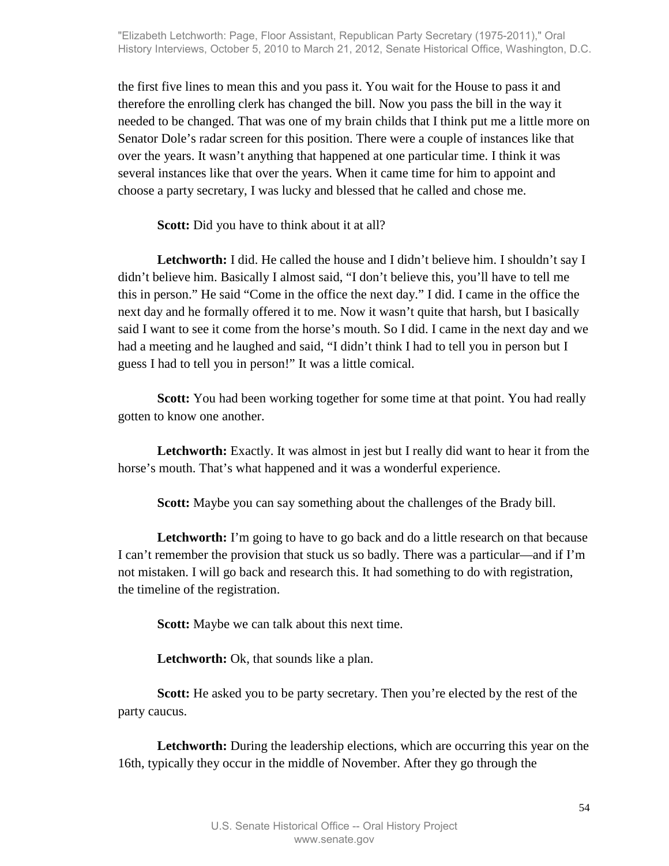the first five lines to mean this and you pass it. You wait for the House to pass it and therefore the enrolling clerk has changed the bill. Now you pass the bill in the way it needed to be changed. That was one of my brain childs that I think put me a little more on Senator Dole's radar screen for this position. There were a couple of instances like that over the years. It wasn't anything that happened at one particular time. I think it was several instances like that over the years. When it came time for him to appoint and choose a party secretary, I was lucky and blessed that he called and chose me.

**Scott:** Did you have to think about it at all?

**Letchworth:** I did. He called the house and I didn't believe him. I shouldn't say I didn't believe him. Basically I almost said, "I don't believe this, you'll have to tell me this in person." He said "Come in the office the next day." I did. I came in the office the next day and he formally offered it to me. Now it wasn't quite that harsh, but I basically said I want to see it come from the horse's mouth. So I did. I came in the next day and we had a meeting and he laughed and said, "I didn't think I had to tell you in person but I guess I had to tell you in person!" It was a little comical.

**Scott:** You had been working together for some time at that point. You had really gotten to know one another.

**Letchworth:** Exactly. It was almost in jest but I really did want to hear it from the horse's mouth. That's what happened and it was a wonderful experience.

**Scott:** Maybe you can say something about the challenges of the Brady bill.

**Letchworth:** I'm going to have to go back and do a little research on that because I can't remember the provision that stuck us so badly. There was a particular—and if I'm not mistaken. I will go back and research this. It had something to do with registration, the timeline of the registration.

**Scott:** Maybe we can talk about this next time.

**Letchworth:** Ok, that sounds like a plan.

**Scott:** He asked you to be party secretary. Then you're elected by the rest of the party caucus.

**Letchworth:** During the leadership elections, which are occurring this year on the 16th, typically they occur in the middle of November. After they go through the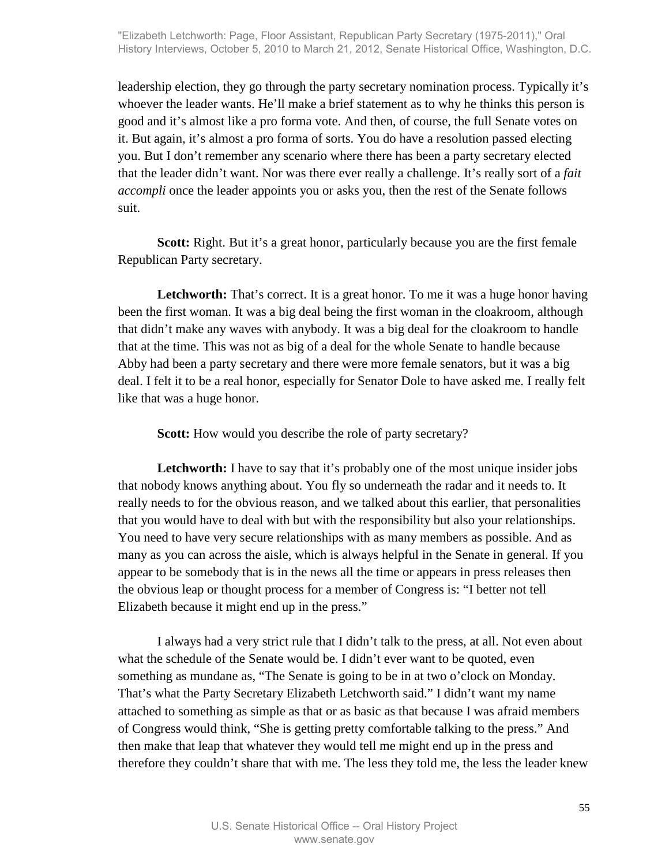leadership election, they go through the party secretary nomination process. Typically it's whoever the leader wants. He'll make a brief statement as to why he thinks this person is good and it's almost like a pro forma vote. And then, of course, the full Senate votes on it. But again, it's almost a pro forma of sorts. You do have a resolution passed electing you. But I don't remember any scenario where there has been a party secretary elected that the leader didn't want. Nor was there ever really a challenge. It's really sort of a *fait accompli* once the leader appoints you or asks you, then the rest of the Senate follows suit.

**Scott:** Right. But it's a great honor, particularly because you are the first female Republican Party secretary.

Letchworth: That's correct. It is a great honor. To me it was a huge honor having been the first woman. It was a big deal being the first woman in the cloakroom, although that didn't make any waves with anybody. It was a big deal for the cloakroom to handle that at the time. This was not as big of a deal for the whole Senate to handle because Abby had been a party secretary and there were more female senators, but it was a big deal. I felt it to be a real honor, especially for Senator Dole to have asked me. I really felt like that was a huge honor.

**Scott:** How would you describe the role of party secretary?

Letchworth: I have to say that it's probably one of the most unique insider jobs that nobody knows anything about. You fly so underneath the radar and it needs to. It really needs to for the obvious reason, and we talked about this earlier, that personalities that you would have to deal with but with the responsibility but also your relationships. You need to have very secure relationships with as many members as possible. And as many as you can across the aisle, which is always helpful in the Senate in general. If you appear to be somebody that is in the news all the time or appears in press releases then the obvious leap or thought process for a member of Congress is: "I better not tell Elizabeth because it might end up in the press."

I always had a very strict rule that I didn't talk to the press, at all. Not even about what the schedule of the Senate would be. I didn't ever want to be quoted, even something as mundane as, "The Senate is going to be in at two o'clock on Monday. That's what the Party Secretary Elizabeth Letchworth said." I didn't want my name attached to something as simple as that or as basic as that because I was afraid members of Congress would think, "She is getting pretty comfortable talking to the press." And then make that leap that whatever they would tell me might end up in the press and therefore they couldn't share that with me. The less they told me, the less the leader knew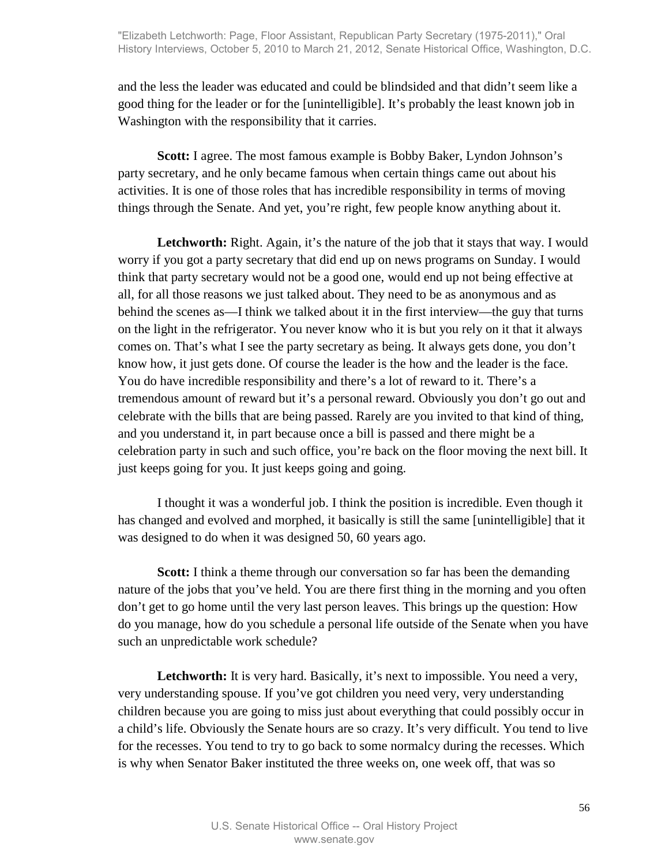and the less the leader was educated and could be blindsided and that didn't seem like a good thing for the leader or for the [unintelligible]. It's probably the least known job in Washington with the responsibility that it carries.

**Scott:** I agree. The most famous example is Bobby Baker, Lyndon Johnson's party secretary, and he only became famous when certain things came out about his activities. It is one of those roles that has incredible responsibility in terms of moving things through the Senate. And yet, you're right, few people know anything about it.

Letchworth: Right. Again, it's the nature of the job that it stays that way. I would worry if you got a party secretary that did end up on news programs on Sunday. I would think that party secretary would not be a good one, would end up not being effective at all, for all those reasons we just talked about. They need to be as anonymous and as behind the scenes as—I think we talked about it in the first interview—the guy that turns on the light in the refrigerator. You never know who it is but you rely on it that it always comes on. That's what I see the party secretary as being. It always gets done, you don't know how, it just gets done. Of course the leader is the how and the leader is the face. You do have incredible responsibility and there's a lot of reward to it. There's a tremendous amount of reward but it's a personal reward. Obviously you don't go out and celebrate with the bills that are being passed. Rarely are you invited to that kind of thing, and you understand it, in part because once a bill is passed and there might be a celebration party in such and such office, you're back on the floor moving the next bill. It just keeps going for you. It just keeps going and going.

I thought it was a wonderful job. I think the position is incredible. Even though it has changed and evolved and morphed, it basically is still the same [unintelligible] that it was designed to do when it was designed 50, 60 years ago.

**Scott:** I think a theme through our conversation so far has been the demanding nature of the jobs that you've held. You are there first thing in the morning and you often don't get to go home until the very last person leaves. This brings up the question: How do you manage, how do you schedule a personal life outside of the Senate when you have such an unpredictable work schedule?

Letchworth: It is very hard. Basically, it's next to impossible. You need a very, very understanding spouse. If you've got children you need very, very understanding children because you are going to miss just about everything that could possibly occur in a child's life. Obviously the Senate hours are so crazy. It's very difficult. You tend to live for the recesses. You tend to try to go back to some normalcy during the recesses. Which is why when Senator Baker instituted the three weeks on, one week off, that was so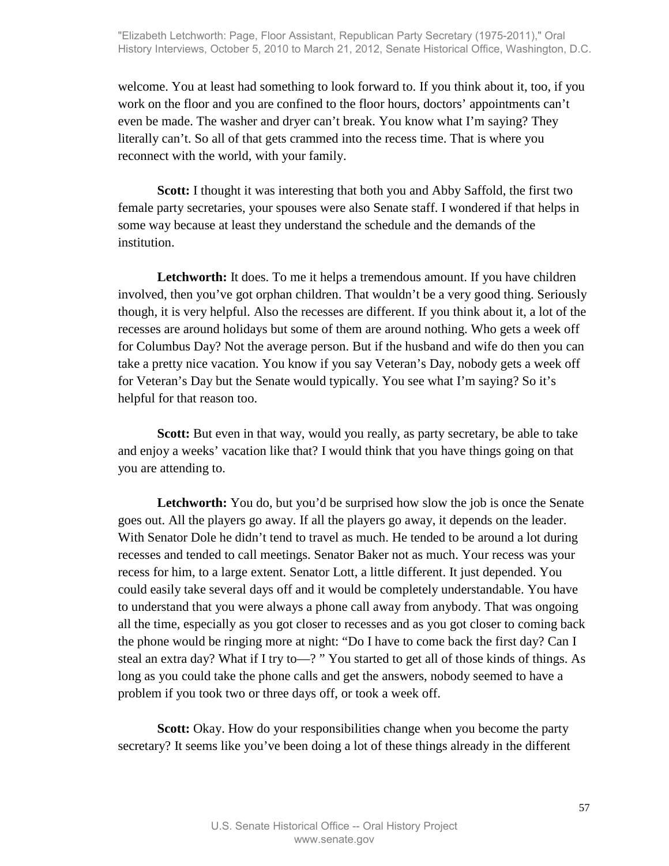welcome. You at least had something to look forward to. If you think about it, too, if you work on the floor and you are confined to the floor hours, doctors' appointments can't even be made. The washer and dryer can't break. You know what I'm saying? They literally can't. So all of that gets crammed into the recess time. That is where you reconnect with the world, with your family.

**Scott:** I thought it was interesting that both you and Abby Saffold, the first two female party secretaries, your spouses were also Senate staff. I wondered if that helps in some way because at least they understand the schedule and the demands of the institution.

Letchworth: It does. To me it helps a tremendous amount. If you have children involved, then you've got orphan children. That wouldn't be a very good thing. Seriously though, it is very helpful. Also the recesses are different. If you think about it, a lot of the recesses are around holidays but some of them are around nothing. Who gets a week off for Columbus Day? Not the average person. But if the husband and wife do then you can take a pretty nice vacation. You know if you say Veteran's Day, nobody gets a week off for Veteran's Day but the Senate would typically. You see what I'm saying? So it's helpful for that reason too.

**Scott:** But even in that way, would you really, as party secretary, be able to take and enjoy a weeks' vacation like that? I would think that you have things going on that you are attending to.

Letchworth: You do, but you'd be surprised how slow the job is once the Senate goes out. All the players go away. If all the players go away, it depends on the leader. With Senator Dole he didn't tend to travel as much. He tended to be around a lot during recesses and tended to call meetings. Senator Baker not as much. Your recess was your recess for him, to a large extent. Senator Lott, a little different. It just depended. You could easily take several days off and it would be completely understandable. You have to understand that you were always a phone call away from anybody. That was ongoing all the time, especially as you got closer to recesses and as you got closer to coming back the phone would be ringing more at night: "Do I have to come back the first day? Can I steal an extra day? What if I try to—? " You started to get all of those kinds of things. As long as you could take the phone calls and get the answers, nobody seemed to have a problem if you took two or three days off, or took a week off.

**Scott:** Okay. How do your responsibilities change when you become the party secretary? It seems like you've been doing a lot of these things already in the different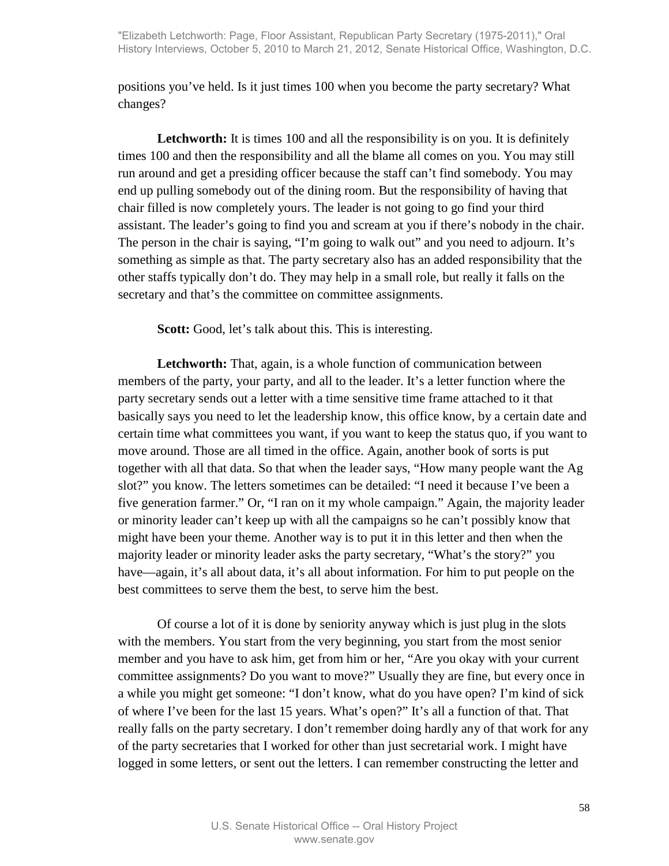positions you've held. Is it just times 100 when you become the party secretary? What changes?

Letchworth: It is times 100 and all the responsibility is on you. It is definitely times 100 and then the responsibility and all the blame all comes on you. You may still run around and get a presiding officer because the staff can't find somebody. You may end up pulling somebody out of the dining room. But the responsibility of having that chair filled is now completely yours. The leader is not going to go find your third assistant. The leader's going to find you and scream at you if there's nobody in the chair. The person in the chair is saying, "I'm going to walk out" and you need to adjourn. It's something as simple as that. The party secretary also has an added responsibility that the other staffs typically don't do. They may help in a small role, but really it falls on the secretary and that's the committee on committee assignments.

**Scott:** Good, let's talk about this. This is interesting.

**Letchworth:** That, again, is a whole function of communication between members of the party, your party, and all to the leader. It's a letter function where the party secretary sends out a letter with a time sensitive time frame attached to it that basically says you need to let the leadership know, this office know, by a certain date and certain time what committees you want, if you want to keep the status quo, if you want to move around. Those are all timed in the office. Again, another book of sorts is put together with all that data. So that when the leader says, "How many people want the Ag slot?" you know. The letters sometimes can be detailed: "I need it because I've been a five generation farmer." Or, "I ran on it my whole campaign." Again, the majority leader or minority leader can't keep up with all the campaigns so he can't possibly know that might have been your theme. Another way is to put it in this letter and then when the majority leader or minority leader asks the party secretary, "What's the story?" you have—again, it's all about data, it's all about information. For him to put people on the best committees to serve them the best, to serve him the best.

Of course a lot of it is done by seniority anyway which is just plug in the slots with the members. You start from the very beginning, you start from the most senior member and you have to ask him, get from him or her, "Are you okay with your current committee assignments? Do you want to move?" Usually they are fine, but every once in a while you might get someone: "I don't know, what do you have open? I'm kind of sick of where I've been for the last 15 years. What's open?" It's all a function of that. That really falls on the party secretary. I don't remember doing hardly any of that work for any of the party secretaries that I worked for other than just secretarial work. I might have logged in some letters, or sent out the letters. I can remember constructing the letter and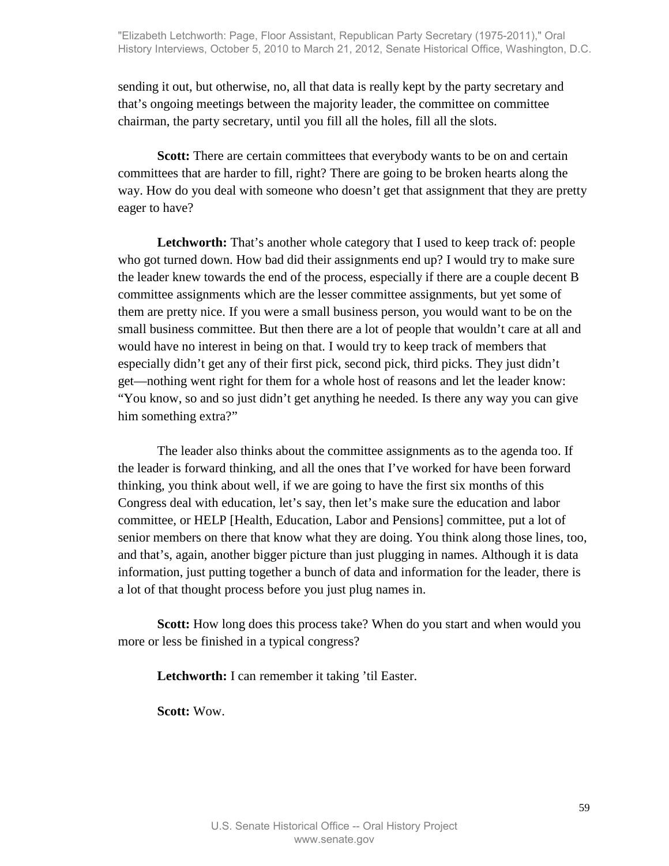sending it out, but otherwise, no, all that data is really kept by the party secretary and that's ongoing meetings between the majority leader, the committee on committee chairman, the party secretary, until you fill all the holes, fill all the slots.

**Scott:** There are certain committees that everybody wants to be on and certain committees that are harder to fill, right? There are going to be broken hearts along the way. How do you deal with someone who doesn't get that assignment that they are pretty eager to have?

**Letchworth:** That's another whole category that I used to keep track of: people who got turned down. How bad did their assignments end up? I would try to make sure the leader knew towards the end of the process, especially if there are a couple decent B committee assignments which are the lesser committee assignments, but yet some of them are pretty nice. If you were a small business person, you would want to be on the small business committee. But then there are a lot of people that wouldn't care at all and would have no interest in being on that. I would try to keep track of members that especially didn't get any of their first pick, second pick, third picks. They just didn't get—nothing went right for them for a whole host of reasons and let the leader know: "You know, so and so just didn't get anything he needed. Is there any way you can give him something extra?"

The leader also thinks about the committee assignments as to the agenda too. If the leader is forward thinking, and all the ones that I've worked for have been forward thinking, you think about well, if we are going to have the first six months of this Congress deal with education, let's say, then let's make sure the education and labor committee, or HELP [Health, Education, Labor and Pensions] committee, put a lot of senior members on there that know what they are doing. You think along those lines, too, and that's, again, another bigger picture than just plugging in names. Although it is data information, just putting together a bunch of data and information for the leader, there is a lot of that thought process before you just plug names in.

**Scott:** How long does this process take? When do you start and when would you more or less be finished in a typical congress?

Letchworth: I can remember it taking 'til Easter.

**Scott:** Wow.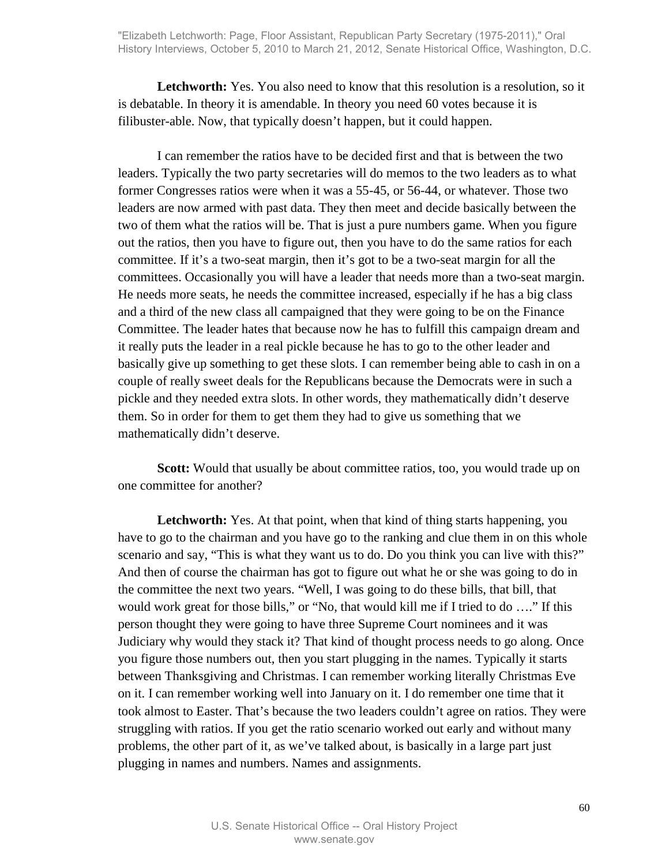Letchworth: Yes. You also need to know that this resolution is a resolution, so it is debatable. In theory it is amendable. In theory you need 60 votes because it is filibuster-able. Now, that typically doesn't happen, but it could happen.

I can remember the ratios have to be decided first and that is between the two leaders. Typically the two party secretaries will do memos to the two leaders as to what former Congresses ratios were when it was a 55-45, or 56-44, or whatever. Those two leaders are now armed with past data. They then meet and decide basically between the two of them what the ratios will be. That is just a pure numbers game. When you figure out the ratios, then you have to figure out, then you have to do the same ratios for each committee. If it's a two-seat margin, then it's got to be a two-seat margin for all the committees. Occasionally you will have a leader that needs more than a two-seat margin. He needs more seats, he needs the committee increased, especially if he has a big class and a third of the new class all campaigned that they were going to be on the Finance Committee. The leader hates that because now he has to fulfill this campaign dream and it really puts the leader in a real pickle because he has to go to the other leader and basically give up something to get these slots. I can remember being able to cash in on a couple of really sweet deals for the Republicans because the Democrats were in such a pickle and they needed extra slots. In other words, they mathematically didn't deserve them. So in order for them to get them they had to give us something that we mathematically didn't deserve.

**Scott:** Would that usually be about committee ratios, too, you would trade up on one committee for another?

Letchworth: Yes. At that point, when that kind of thing starts happening, you have to go to the chairman and you have go to the ranking and clue them in on this whole scenario and say, "This is what they want us to do. Do you think you can live with this?" And then of course the chairman has got to figure out what he or she was going to do in the committee the next two years. "Well, I was going to do these bills, that bill, that would work great for those bills," or "No, that would kill me if I tried to do …." If this person thought they were going to have three Supreme Court nominees and it was Judiciary why would they stack it? That kind of thought process needs to go along. Once you figure those numbers out, then you start plugging in the names. Typically it starts between Thanksgiving and Christmas. I can remember working literally Christmas Eve on it. I can remember working well into January on it. I do remember one time that it took almost to Easter. That's because the two leaders couldn't agree on ratios. They were struggling with ratios. If you get the ratio scenario worked out early and without many problems, the other part of it, as we've talked about, is basically in a large part just plugging in names and numbers. Names and assignments.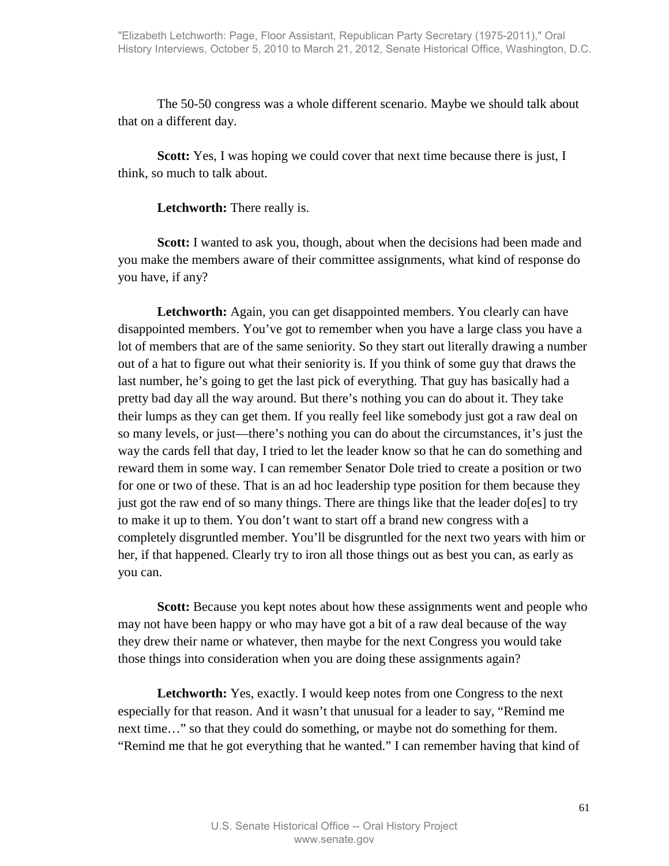The 50-50 congress was a whole different scenario. Maybe we should talk about that on a different day.

**Scott:** Yes, I was hoping we could cover that next time because there is just, I think, so much to talk about.

#### **Letchworth:** There really is.

**Scott:** I wanted to ask you, though, about when the decisions had been made and you make the members aware of their committee assignments, what kind of response do you have, if any?

Letchworth: Again, you can get disappointed members. You clearly can have disappointed members. You've got to remember when you have a large class you have a lot of members that are of the same seniority. So they start out literally drawing a number out of a hat to figure out what their seniority is. If you think of some guy that draws the last number, he's going to get the last pick of everything. That guy has basically had a pretty bad day all the way around. But there's nothing you can do about it. They take their lumps as they can get them. If you really feel like somebody just got a raw deal on so many levels, or just—there's nothing you can do about the circumstances, it's just the way the cards fell that day, I tried to let the leader know so that he can do something and reward them in some way. I can remember Senator Dole tried to create a position or two for one or two of these. That is an ad hoc leadership type position for them because they just got the raw end of so many things. There are things like that the leader do[es] to try to make it up to them. You don't want to start off a brand new congress with a completely disgruntled member. You'll be disgruntled for the next two years with him or her, if that happened. Clearly try to iron all those things out as best you can, as early as you can.

**Scott:** Because you kept notes about how these assignments went and people who may not have been happy or who may have got a bit of a raw deal because of the way they drew their name or whatever, then maybe for the next Congress you would take those things into consideration when you are doing these assignments again?

Letchworth: Yes, exactly. I would keep notes from one Congress to the next especially for that reason. And it wasn't that unusual for a leader to say, "Remind me next time…" so that they could do something, or maybe not do something for them. "Remind me that he got everything that he wanted." I can remember having that kind of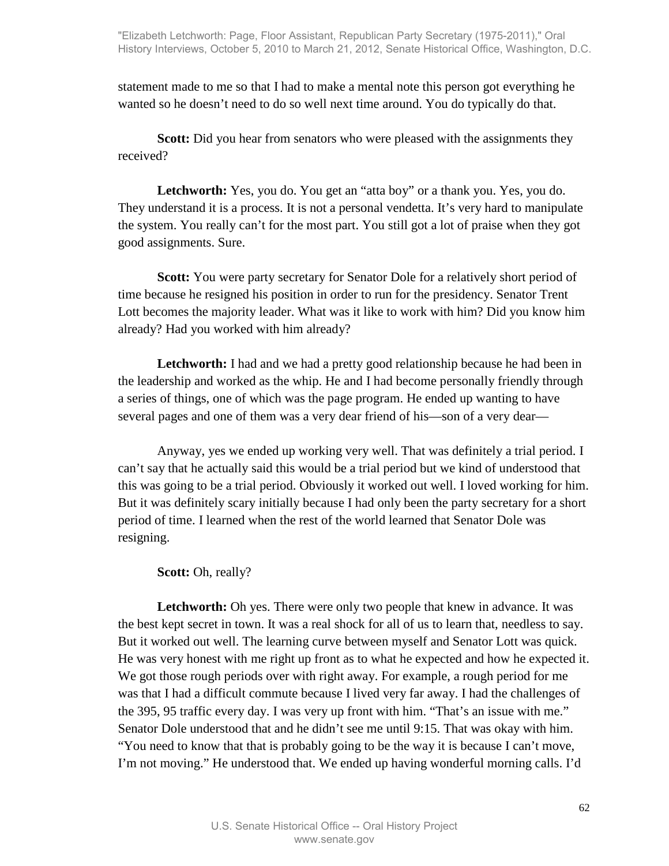statement made to me so that I had to make a mental note this person got everything he wanted so he doesn't need to do so well next time around. You do typically do that.

**Scott:** Did you hear from senators who were pleased with the assignments they received?

**Letchworth:** Yes, you do. You get an "atta boy" or a thank you. Yes, you do. They understand it is a process. It is not a personal vendetta. It's very hard to manipulate the system. You really can't for the most part. You still got a lot of praise when they got good assignments. Sure.

**Scott:** You were party secretary for Senator Dole for a relatively short period of time because he resigned his position in order to run for the presidency. Senator Trent Lott becomes the majority leader. What was it like to work with him? Did you know him already? Had you worked with him already?

**Letchworth:** I had and we had a pretty good relationship because he had been in the leadership and worked as the whip. He and I had become personally friendly through a series of things, one of which was the page program. He ended up wanting to have several pages and one of them was a very dear friend of his—son of a very dear—

Anyway, yes we ended up working very well. That was definitely a trial period. I can't say that he actually said this would be a trial period but we kind of understood that this was going to be a trial period. Obviously it worked out well. I loved working for him. But it was definitely scary initially because I had only been the party secretary for a short period of time. I learned when the rest of the world learned that Senator Dole was resigning.

## Scott: Oh, really?

Letchworth: Oh yes. There were only two people that knew in advance. It was the best kept secret in town. It was a real shock for all of us to learn that, needless to say. But it worked out well. The learning curve between myself and Senator Lott was quick. He was very honest with me right up front as to what he expected and how he expected it. We got those rough periods over with right away. For example, a rough period for me was that I had a difficult commute because I lived very far away. I had the challenges of the 395, 95 traffic every day. I was very up front with him. "That's an issue with me." Senator Dole understood that and he didn't see me until 9:15. That was okay with him. "You need to know that that is probably going to be the way it is because I can't move, I'm not moving." He understood that. We ended up having wonderful morning calls. I'd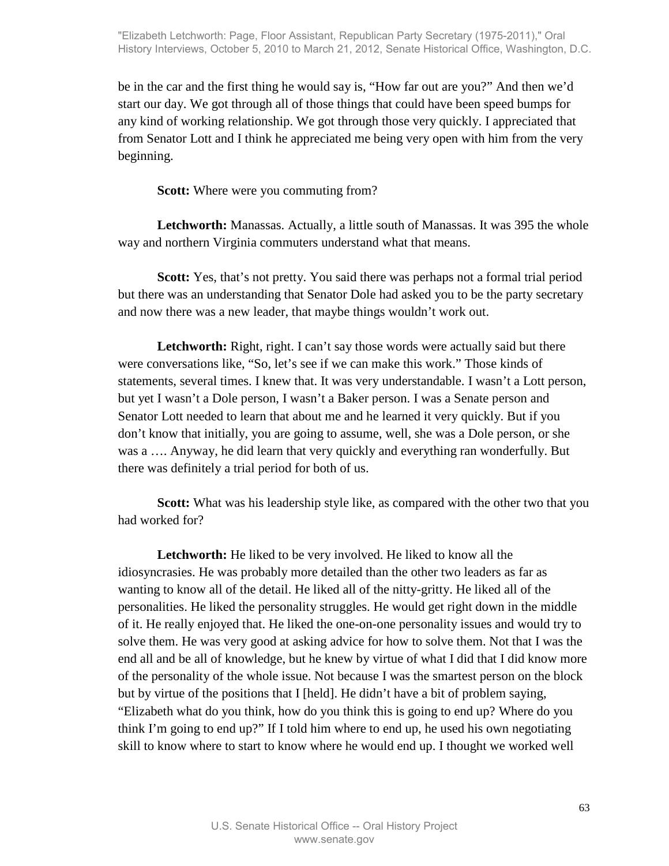be in the car and the first thing he would say is, "How far out are you?" And then we'd start our day. We got through all of those things that could have been speed bumps for any kind of working relationship. We got through those very quickly. I appreciated that from Senator Lott and I think he appreciated me being very open with him from the very beginning.

**Scott:** Where were you commuting from?

**Letchworth:** Manassas. Actually, a little south of Manassas. It was 395 the whole way and northern Virginia commuters understand what that means.

**Scott:** Yes, that's not pretty. You said there was perhaps not a formal trial period but there was an understanding that Senator Dole had asked you to be the party secretary and now there was a new leader, that maybe things wouldn't work out.

**Letchworth:** Right, right. I can't say those words were actually said but there were conversations like, "So, let's see if we can make this work." Those kinds of statements, several times. I knew that. It was very understandable. I wasn't a Lott person, but yet I wasn't a Dole person, I wasn't a Baker person. I was a Senate person and Senator Lott needed to learn that about me and he learned it very quickly. But if you don't know that initially, you are going to assume, well, she was a Dole person, or she was a …. Anyway, he did learn that very quickly and everything ran wonderfully. But there was definitely a trial period for both of us.

**Scott:** What was his leadership style like, as compared with the other two that you had worked for?

**Letchworth:** He liked to be very involved. He liked to know all the idiosyncrasies. He was probably more detailed than the other two leaders as far as wanting to know all of the detail. He liked all of the nitty-gritty. He liked all of the personalities. He liked the personality struggles. He would get right down in the middle of it. He really enjoyed that. He liked the one-on-one personality issues and would try to solve them. He was very good at asking advice for how to solve them. Not that I was the end all and be all of knowledge, but he knew by virtue of what I did that I did know more of the personality of the whole issue. Not because I was the smartest person on the block but by virtue of the positions that I [held]. He didn't have a bit of problem saying, "Elizabeth what do you think, how do you think this is going to end up? Where do you think I'm going to end up?" If I told him where to end up, he used his own negotiating skill to know where to start to know where he would end up. I thought we worked well